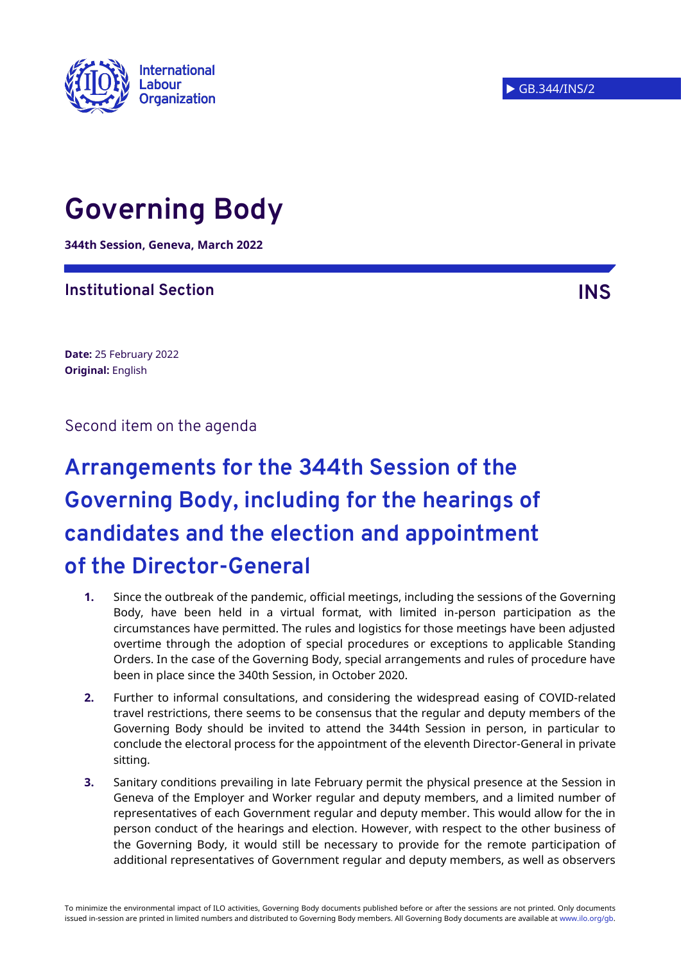

# **Governing Body**

**344th Session, Geneva, March 2022**

## **Institutional Section INS**

**Date:** 25 February 2022 **Original:** English

Second item on the agenda

# **Arrangements for the 344th Session of the Governing Body, including for the hearings of candidates and the election and appointment of the Director-General**

- **1.** Since the outbreak of the pandemic, official meetings, including the sessions of the Governing Body, have been held in a virtual format, with limited in-person participation as the circumstances have permitted. The rules and logistics for those meetings have been adjusted overtime through the adoption of special procedures or exceptions to applicable Standing Orders. In the case of the Governing Body, special arrangements and rules of procedure have been in place since the 340th Session, in October 2020.
- **2.** Further to informal consultations, and considering the widespread easing of COVID-related travel restrictions, there seems to be consensus that the regular and deputy members of the Governing Body should be invited to attend the 344th Session in person, in particular to conclude the electoral process for the appointment of the eleventh Director-General in private sitting.
- **3.** Sanitary conditions prevailing in late February permit the physical presence at the Session in Geneva of the Employer and Worker regular and deputy members, and a limited number of representatives of each Government regular and deputy member. This would allow for the in person conduct of the hearings and election. However, with respect to the other business of the Governing Body, it would still be necessary to provide for the remote participation of additional representatives of Government regular and deputy members, as well as observers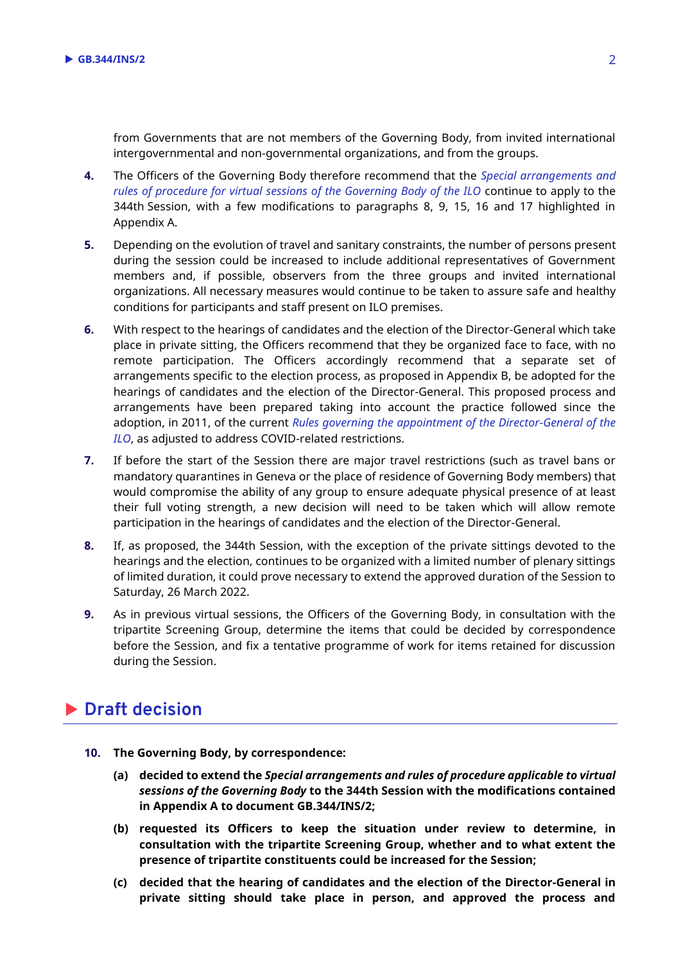from Governments that are not members of the Governing Body, from invited international intergovernmental and non-governmental organizations, and from the groups.

- **4.** The Officers of the Governing Body therefore recommend that the *[Special arrangements and](https://www.ilo.org/wcmsp5/groups/public/@ed_norm/@relconf/documents/meetingdocument/wcms_821958.pdf)  [rules of procedure for virtual sessions of the Governing Body of the ILO](https://www.ilo.org/wcmsp5/groups/public/@ed_norm/@relconf/documents/meetingdocument/wcms_821958.pdf)* continue to apply to the 344th Session, with a few modifications to paragraphs 8, 9, 15, 16 and 17 highlighted in Appendix A.
- **5.** Depending on the evolution of travel and sanitary constraints, the number of persons present during the session could be increased to include additional representatives of Government members and, if possible, observers from the three groups and invited international organizations. All necessary measures would continue to be taken to assure safe and healthy conditions for participants and staff present on ILO premises.
- **6.** With respect to the hearings of candidates and the election of the Director-General which take place in private sitting, the Officers recommend that they be organized face to face, with no remote participation. The Officers accordingly recommend that a separate set of arrangements specific to the election process, as proposed in Appendix B, be adopted for the hearings of candidates and the election of the Director-General. This proposed process and arrangements have been prepared taking into account the practice followed since the adoption, in 2011, of the current *[Rules governing the appointment of the Director-General of the](https://www.ilo.org/gb/about-governing-body/appointment-of-director-general/WCMS_470745/lang--en/index.htm)  [ILO](https://www.ilo.org/gb/about-governing-body/appointment-of-director-general/WCMS_470745/lang--en/index.htm)*, as adjusted to address COVID-related restrictions.
- **7.** If before the start of the Session there are major travel restrictions (such as travel bans or mandatory quarantines in Geneva or the place of residence of Governing Body members) that would compromise the ability of any group to ensure adequate physical presence of at least their full voting strength, a new decision will need to be taken which will allow remote participation in the hearings of candidates and the election of the Director-General.
- **8.** If, as proposed, the 344th Session, with the exception of the private sittings devoted to the hearings and the election, continues to be organized with a limited number of plenary sittings of limited duration, it could prove necessary to extend the approved duration of the Session to Saturday, 26 March 2022.
- **9.** As in previous virtual sessions, the Officers of the Governing Body, in consultation with the tripartite Screening Group, determine the items that could be decided by correspondence before the Session, and fix a tentative programme of work for items retained for discussion during the Session.

# **Draft decision**

- **10. The Governing Body, by correspondence:**
	- **(a) decided to extend the** *Special arrangements and rules of procedure applicable to virtual sessions of the Governing Body* **to the 344th Session with the modifications contained in Appendix A to document GB.344/INS/2;**
	- **(b) requested its Officers to keep the situation under review to determine, in consultation with the tripartite Screening Group, whether and to what extent the presence of tripartite constituents could be increased for the Session;**
	- **(c) decided that the hearing of candidates and the election of the Director-General in private sitting should take place in person, and approved the process and**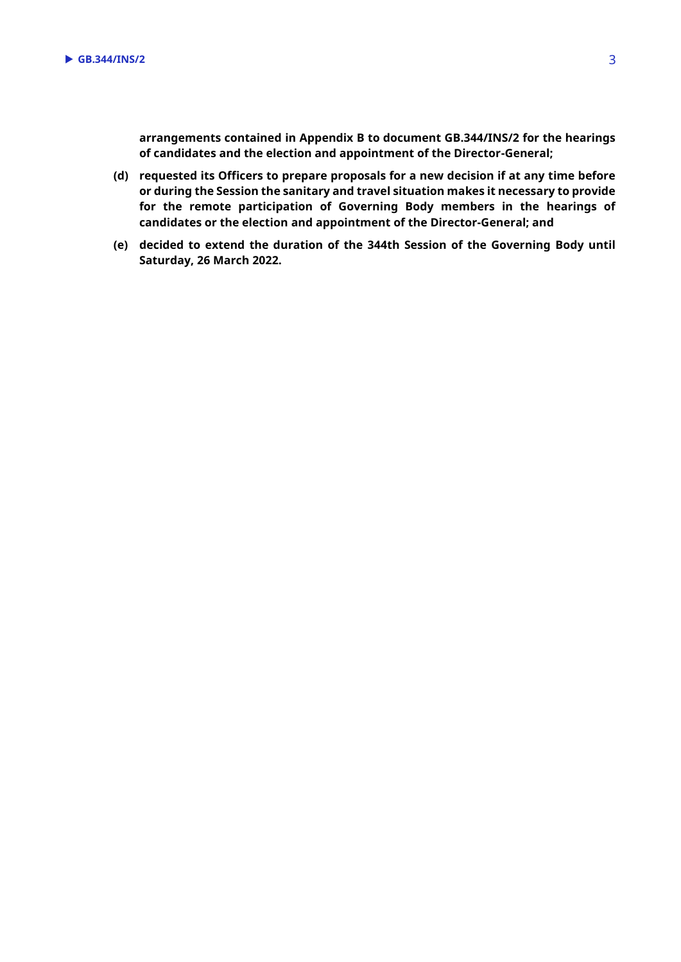**arrangements contained in Appendix B to document GB.344/INS/2 for the hearings of candidates and the election and appointment of the Director-General;** 

- **(d) requested its Officers to prepare proposals for a new decision if at any time before or during the Session the sanitary and travel situation makes it necessary to provide for the remote participation of Governing Body members in the hearings of candidates or the election and appointment of the Director-General; and**
- **(e) decided to extend the duration of the 344th Session of the Governing Body until Saturday, 26 March 2022.**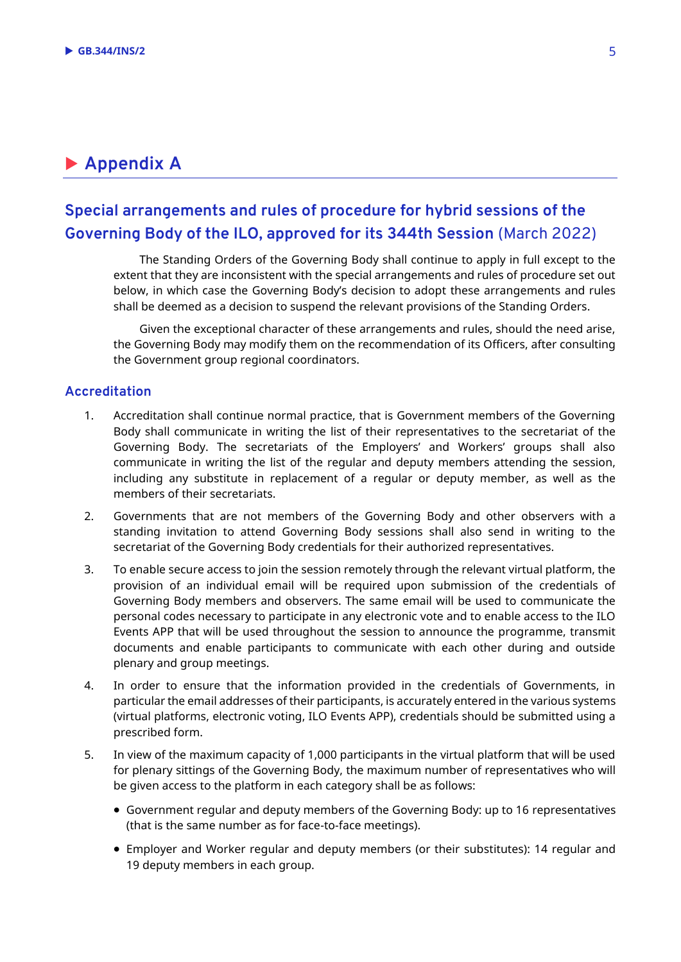# **Appendix A**

## **Special arrangements and rules of procedure for hybrid sessions of the Governing Body of the ILO, approved for its 344th Session** (March 2022)

The Standing Orders of the Governing Body shall continue to apply in full except to the extent that they are inconsistent with the special arrangements and rules of procedure set out below, in which case the Governing Body's decision to adopt these arrangements and rules shall be deemed as a decision to suspend the relevant provisions of the Standing Orders.

Given the exceptional character of these arrangements and rules, should the need arise, the Governing Body may modify them on the recommendation of its Officers, after consulting the Government group regional coordinators.

#### **Accreditation**

- 1. Accreditation shall continue normal practice, that is Government members of the Governing Body shall communicate in writing the list of their representatives to the secretariat of the Governing Body. The secretariats of the Employers' and Workers' groups shall also communicate in writing the list of the regular and deputy members attending the session, including any substitute in replacement of a regular or deputy member, as well as the members of their secretariats.
- 2. Governments that are not members of the Governing Body and other observers with a standing invitation to attend Governing Body sessions shall also send in writing to the secretariat of the Governing Body credentials for their authorized representatives.
- 3. To enable secure access to join the session remotely through the relevant virtual platform, the provision of an individual email will be required upon submission of the credentials of Governing Body members and observers. The same email will be used to communicate the personal codes necessary to participate in any electronic vote and to enable access to the ILO Events APP that will be used throughout the session to announce the programme, transmit documents and enable participants to communicate with each other during and outside plenary and group meetings.
- 4. In order to ensure that the information provided in the credentials of Governments, in particular the email addresses of their participants, is accurately entered in the various systems (virtual platforms, electronic voting, ILO Events APP), credentials should be submitted using a prescribed form.
- 5. In view of the maximum capacity of 1,000 participants in the virtual platform that will be used for plenary sittings of the Governing Body, the maximum number of representatives who will be given access to the platform in each category shall be as follows:
	- Government regular and deputy members of the Governing Body: up to 16 representatives (that is the same number as for face-to-face meetings).
	- Employer and Worker regular and deputy members (or their substitutes): 14 regular and 19 deputy members in each group.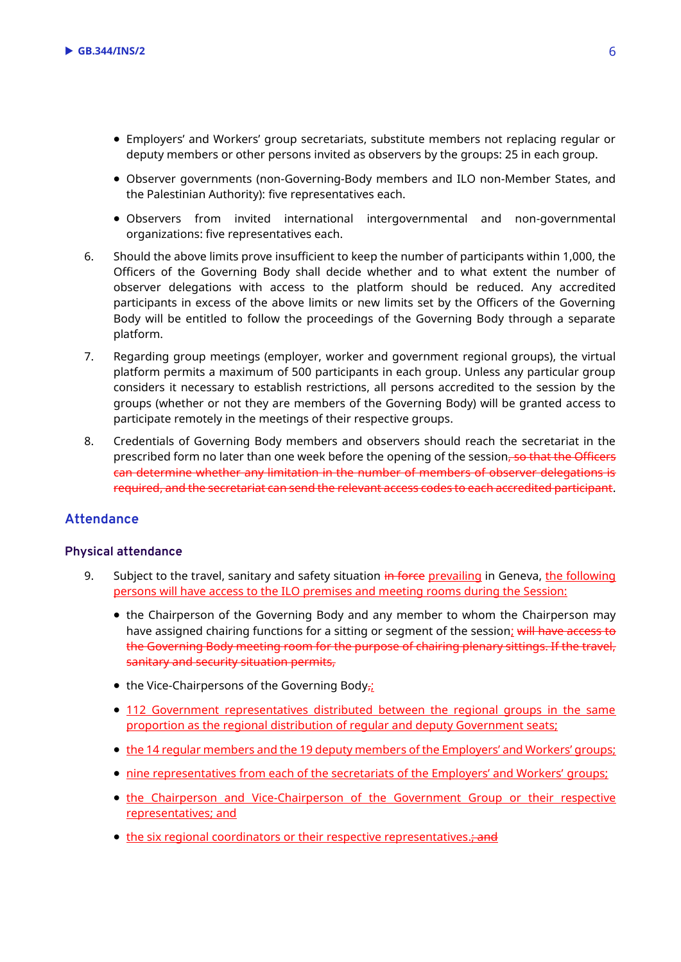- Employers' and Workers' group secretariats, substitute members not replacing regular or deputy members or other persons invited as observers by the groups: 25 in each group.
- Observer governments (non-Governing-Body members and ILO non-Member States, and the Palestinian Authority): five representatives each.
- Observers from invited international intergovernmental and non-governmental organizations: five representatives each.
- 6. Should the above limits prove insufficient to keep the number of participants within 1,000, the Officers of the Governing Body shall decide whether and to what extent the number of observer delegations with access to the platform should be reduced. Any accredited participants in excess of the above limits or new limits set by the Officers of the Governing Body will be entitled to follow the proceedings of the Governing Body through a separate platform.
- 7. Regarding group meetings (employer, worker and government regional groups), the virtual platform permits a maximum of 500 participants in each group. Unless any particular group considers it necessary to establish restrictions, all persons accredited to the session by the groups (whether or not they are members of the Governing Body) will be granted access to participate remotely in the meetings of their respective groups.
- 8. Credentials of Governing Body members and observers should reach the secretariat in the prescribed form no later than one week before the opening of the session. so that the Officers can determine whether any limitation in the number of members of observer delegations is required, and the secretariat can send the relevant access codes to each accredited participant.

## **Attendance**

#### **Physical attendance**

- 9. Subject to the travel, sanitary and safety situation in force prevailing in Geneva, the following persons will have access to the ILO premises and meeting rooms during the Session:
	- the Chairperson of the Governing Body and any member to whom the Chairperson may have assigned chairing functions for a sitting or segment of the session; will have access to the Governing Body meeting room for the purpose of chairing plenary sittings. If the travel, sanitary and security situation permits,
	- the Vice-Chairpersons of the Governing Body $\frac{1}{\hbar}$
	- 112 Government representatives distributed between the regional groups in the same proportion as the regional distribution of regular and deputy Government seats;
	- the 14 regular members and the 19 deputy members of the Employers' and Workers' groups;
	- nine representatives from each of the secretariats of the Employers' and Workers' groups;
	- the Chairperson and Vice-Chairperson of the Government Group or their respective representatives; and
	- the six regional coordinators or their respective representatives.; and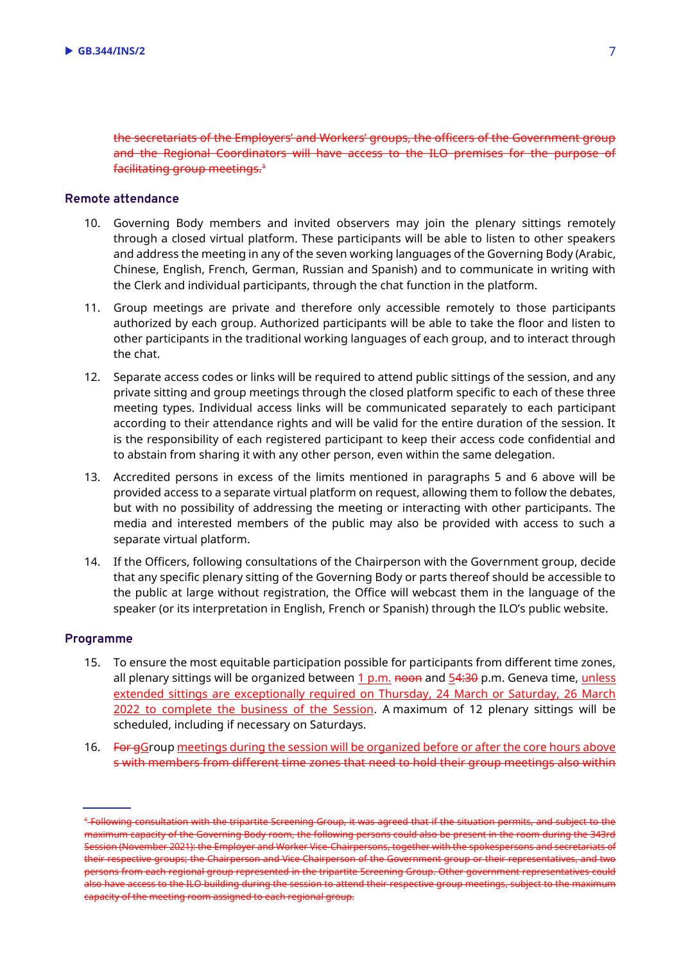the secretariats of the Employers' and Workers' groups, the officers of the Government group and the Regional Coordinators will have access to the ILO premises for the purpose of facilitating group meetings.<sup>1</sup>

#### **Remote attendance**

- 10. Governing Body members and invited observers may join the plenary sittings remotely through a closed virtual platform. These participants will be able to listen to other speakers and address the meeting in any of the seven working languages of the Governing Body (Arabic, Chinese, English, French, German, Russian and Spanish) and to communicate in writing with the Clerk and individual participants, through the chat function in the platform.
- 11. Group meetings are private and therefore only accessible remotely to those participants authorized by each group. Authorized participants will be able to take the floor and listen to other participants in the traditional working languages of each group, and to interact through the chat.
- 12. Separate access codes or links will be required to attend public sittings of the session, and any private sitting and group meetings through the closed platform specific to each of these three meeting types. Individual access links will be communicated separately to each participant according to their attendance rights and will be valid for the entire duration of the session. It is the responsibility of each registered participant to keep their access code confidential and to abstain from sharing it with any other person, even within the same delegation.
- 13. Accredited persons in excess of the limits mentioned in paragraphs 5 and 6 above will be provided access to a separate virtual platform on request, allowing them to follow the debates, but with no possibility of addressing the meeting or interacting with other participants. The media and interested members of the public may also be provided with access to such a separate virtual platform.
- 14. If the Officers, following consultations of the Chairperson with the Government group, decide that any specific plenary sitting of the Governing Body or parts thereof should be accessible to the public at large without registration, the Office will webcast them in the language of the speaker (or its interpretation in English, French or Spanish) through the ILO's public website.

#### **Programme**

- 15. To ensure the most equitable participation possible for participants from different time zones, all plenary sittings will be organized between  $1 \text{ p.m.}$  noon and  $54:30 \text{ p.m.}$  Geneva time, unless extended sittings are exceptionally required on Thursday, 24 March or Saturday, 26 March 2022 to complete the business of the Session. A maximum of 12 plenary sittings will be scheduled, including if necessary on Saturdays.
- 16. For gGroup meetings during the session will be organized before or after the core hours above s with members from different time zones that need to hold their group meetings also within

<sup>&</sup>lt;sup>4</sup>-Following consultation with the tripartite Screening Group, it was agreed that if the situation permits, and subject to the maximum capacity of the Governing Body room, the following persons could also be present in the room during the 343rd Session (November 2021): the Employer and Worker Vice-Chairpersons, together with the spokespersons and secretariats of their respective groups; the Chairperson and Vice-Chairperson of the Government group or their representatives, and two persons from each regional group represented in the tripartite Screening Group. Other government representatives could also have access to the ILO building during the session to attend their respective group meetings, subject to the maximum capacity of the meeting room assigned to each regional group.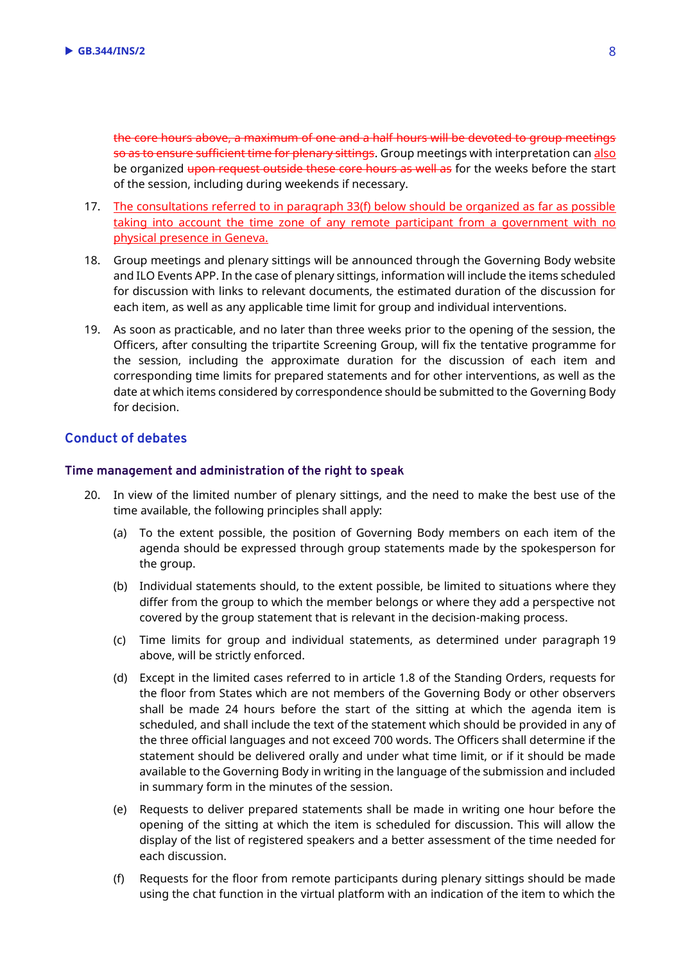the core hours above, a maximum of one and a half hours will be devoted to group meetings so as to ensure sufficient time for plenary sittings. Group meetings with interpretation can also be organized upon request outside these core hours as well as for the weeks before the start of the session, including during weekends if necessary.

- 17. The consultations referred to in paragraph 33(f) below should be organized as far as possible taking into account the time zone of any remote participant from a government with no physical presence in Geneva.
- 18. Group meetings and plenary sittings will be announced through the Governing Body website and ILO Events APP. In the case of plenary sittings, information will include the items scheduled for discussion with links to relevant documents, the estimated duration of the discussion for each item, as well as any applicable time limit for group and individual interventions.
- 19. As soon as practicable, and no later than three weeks prior to the opening of the session, the Officers, after consulting the tripartite Screening Group, will fix the tentative programme for the session, including the approximate duration for the discussion of each item and corresponding time limits for prepared statements and for other interventions, as well as the date at which items considered by correspondence should be submitted to the Governing Body for decision.

### **Conduct of debates**

#### **Time management and administration of the right to speak**

- 20. In view of the limited number of plenary sittings, and the need to make the best use of the time available, the following principles shall apply:
	- (a) To the extent possible, the position of Governing Body members on each item of the agenda should be expressed through group statements made by the spokesperson for the group.
	- (b) Individual statements should, to the extent possible, be limited to situations where they differ from the group to which the member belongs or where they add a perspective not covered by the group statement that is relevant in the decision-making process.
	- (c) Time limits for group and individual statements, as determined under paragraph 19 above, will be strictly enforced.
	- (d) Except in the limited cases referred to in article 1.8 of the Standing Orders, requests for the floor from States which are not members of the Governing Body or other observers shall be made 24 hours before the start of the sitting at which the agenda item is scheduled, and shall include the text of the statement which should be provided in any of the three official languages and not exceed 700 words. The Officers shall determine if the statement should be delivered orally and under what time limit, or if it should be made available to the Governing Body in writing in the language of the submission and included in summary form in the minutes of the session.
	- (e) Requests to deliver prepared statements shall be made in writing one hour before the opening of the sitting at which the item is scheduled for discussion. This will allow the display of the list of registered speakers and a better assessment of the time needed for each discussion.
	- (f) Requests for the floor from remote participants during plenary sittings should be made using the chat function in the virtual platform with an indication of the item to which the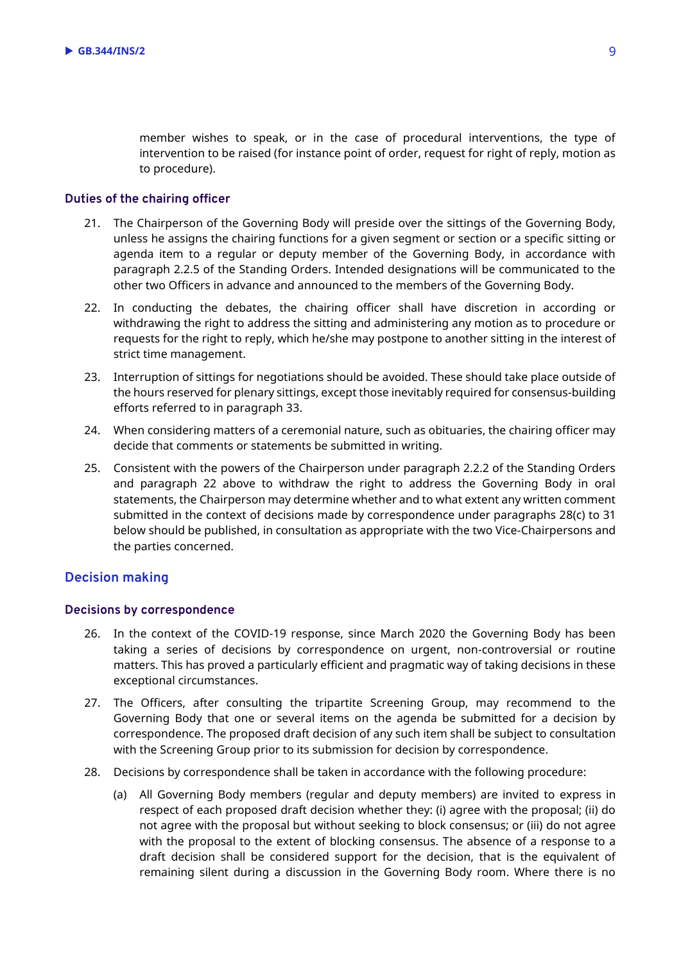member wishes to speak, or in the case of procedural interventions, the type of intervention to be raised (for instance point of order, request for right of reply, motion as to procedure).

#### **Duties of the chairing officer**

- 21. The Chairperson of the Governing Body will preside over the sittings of the Governing Body, unless he assigns the chairing functions for a given segment or section or a specific sitting or agenda item to a regular or deputy member of the Governing Body, in accordance with paragraph 2.2.5 of the Standing Orders. Intended designations will be communicated to the other two Officers in advance and announced to the members of the Governing Body.
- 22. In conducting the debates, the chairing officer shall have discretion in according or withdrawing the right to address the sitting and administering any motion as to procedure or requests for the right to reply, which he/she may postpone to another sitting in the interest of strict time management.
- 23. Interruption of sittings for negotiations should be avoided. These should take place outside of the hours reserved for plenary sittings, except those inevitably required for consensus-building efforts referred to in paragraph 33.
- 24. When considering matters of a ceremonial nature, such as obituaries, the chairing officer may decide that comments or statements be submitted in writing.
- 25. Consistent with the powers of the Chairperson under paragraph 2.2.2 of the Standing Orders and paragraph 22 above to withdraw the right to address the Governing Body in oral statements, the Chairperson may determine whether and to what extent any written comment submitted in the context of decisions made by correspondence under paragraphs 28(c) to 31 below should be published, in consultation as appropriate with the two Vice-Chairpersons and the parties concerned.

#### **Decision making**

#### **Decisions by correspondence**

- 26. In the context of the COVID-19 response, since March 2020 the Governing Body has been taking a series of decisions by correspondence on urgent, non-controversial or routine matters. This has proved a particularly efficient and pragmatic way of taking decisions in these exceptional circumstances.
- 27. The Officers, after consulting the tripartite Screening Group, may recommend to the Governing Body that one or several items on the agenda be submitted for a decision by correspondence. The proposed draft decision of any such item shall be subject to consultation with the Screening Group prior to its submission for decision by correspondence.
- 28. Decisions by correspondence shall be taken in accordance with the following procedure:
	- (a) All Governing Body members (regular and deputy members) are invited to express in respect of each proposed draft decision whether they: (i) agree with the proposal; (ii) do not agree with the proposal but without seeking to block consensus; or (iii) do not agree with the proposal to the extent of blocking consensus. The absence of a response to a draft decision shall be considered support for the decision, that is the equivalent of remaining silent during a discussion in the Governing Body room. Where there is no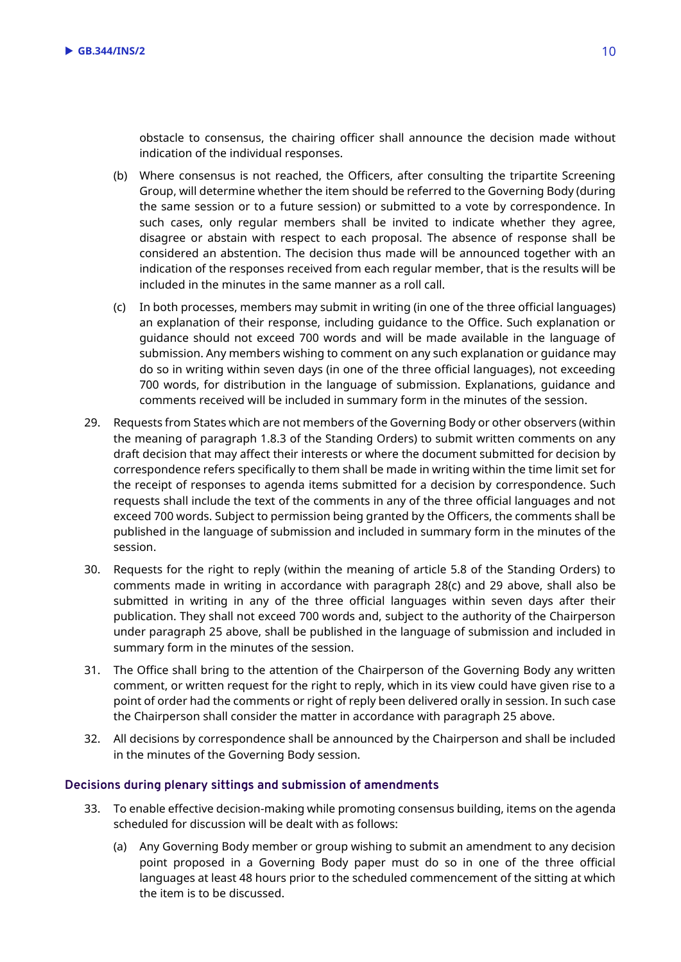obstacle to consensus, the chairing officer shall announce the decision made without indication of the individual responses.

- (b) Where consensus is not reached, the Officers, after consulting the tripartite Screening Group, will determine whether the item should be referred to the Governing Body (during the same session or to a future session) or submitted to a vote by correspondence. In such cases, only regular members shall be invited to indicate whether they agree, disagree or abstain with respect to each proposal. The absence of response shall be considered an abstention. The decision thus made will be announced together with an indication of the responses received from each regular member, that is the results will be included in the minutes in the same manner as a roll call.
- (c) In both processes, members may submit in writing (in one of the three official languages) an explanation of their response, including guidance to the Office. Such explanation or guidance should not exceed 700 words and will be made available in the language of submission. Any members wishing to comment on any such explanation or guidance may do so in writing within seven days (in one of the three official languages), not exceeding 700 words, for distribution in the language of submission. Explanations, guidance and comments received will be included in summary form in the minutes of the session.
- 29. Requests from States which are not members of the Governing Body or other observers (within the meaning of paragraph 1.8.3 of the Standing Orders) to submit written comments on any draft decision that may affect their interests or where the document submitted for decision by correspondence refers specifically to them shall be made in writing within the time limit set for the receipt of responses to agenda items submitted for a decision by correspondence. Such requests shall include the text of the comments in any of the three official languages and not exceed 700 words. Subject to permission being granted by the Officers, the comments shall be published in the language of submission and included in summary form in the minutes of the session.
- 30. Requests for the right to reply (within the meaning of article 5.8 of the Standing Orders) to comments made in writing in accordance with paragraph 28(c) and 29 above, shall also be submitted in writing in any of the three official languages within seven days after their publication. They shall not exceed 700 words and, subject to the authority of the Chairperson under paragraph 25 above, shall be published in the language of submission and included in summary form in the minutes of the session.
- 31. The Office shall bring to the attention of the Chairperson of the Governing Body any written comment, or written request for the right to reply, which in its view could have given rise to a point of order had the comments or right of reply been delivered orally in session. In such case the Chairperson shall consider the matter in accordance with paragraph 25 above.
- 32. All decisions by correspondence shall be announced by the Chairperson and shall be included in the minutes of the Governing Body session.

#### **Decisions during plenary sittings and submission of amendments**

- 33. To enable effective decision-making while promoting consensus building, items on the agenda scheduled for discussion will be dealt with as follows:
	- (a) Any Governing Body member or group wishing to submit an amendment to any decision point proposed in a Governing Body paper must do so in one of the three official languages at least 48 hours prior to the scheduled commencement of the sitting at which the item is to be discussed.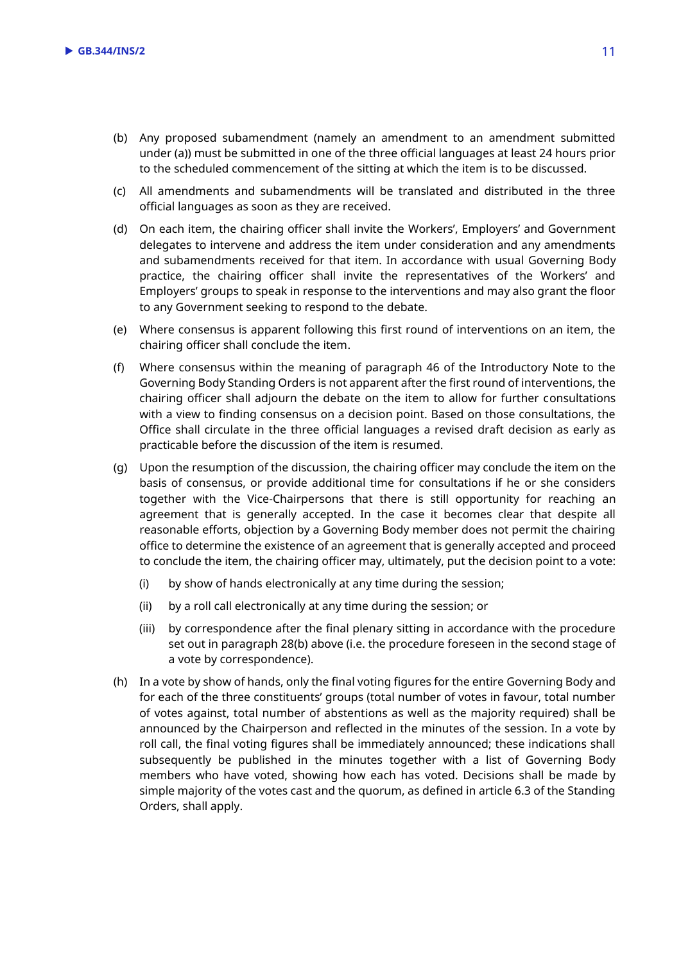- (b) Any proposed subamendment (namely an amendment to an amendment submitted under (a)) must be submitted in one of the three official languages at least 24 hours prior to the scheduled commencement of the sitting at which the item is to be discussed.
- (c) All amendments and subamendments will be translated and distributed in the three official languages as soon as they are received.
- (d) On each item, the chairing officer shall invite the Workers', Employers' and Government delegates to intervene and address the item under consideration and any amendments and subamendments received for that item. In accordance with usual Governing Body practice, the chairing officer shall invite the representatives of the Workers' and Employers' groups to speak in response to the interventions and may also grant the floor to any Government seeking to respond to the debate.
- (e) Where consensus is apparent following this first round of interventions on an item, the chairing officer shall conclude the item.
- (f) Where consensus within the meaning of paragraph 46 of the Introductory Note to the Governing Body Standing Orders is not apparent after the first round of interventions, the chairing officer shall adjourn the debate on the item to allow for further consultations with a view to finding consensus on a decision point. Based on those consultations, the Office shall circulate in the three official languages a revised draft decision as early as practicable before the discussion of the item is resumed.
- (g) Upon the resumption of the discussion, the chairing officer may conclude the item on the basis of consensus, or provide additional time for consultations if he or she considers together with the Vice-Chairpersons that there is still opportunity for reaching an agreement that is generally accepted. In the case it becomes clear that despite all reasonable efforts, objection by a Governing Body member does not permit the chairing office to determine the existence of an agreement that is generally accepted and proceed to conclude the item, the chairing officer may, ultimately, put the decision point to a vote:
	- (i) by show of hands electronically at any time during the session;
	- (ii) by a roll call electronically at any time during the session; or
	- (iii) by correspondence after the final plenary sitting in accordance with the procedure set out in paragraph 28(b) above (i.e. the procedure foreseen in the second stage of a vote by correspondence).
- (h) In a vote by show of hands, only the final voting figures for the entire Governing Body and for each of the three constituents' groups (total number of votes in favour, total number of votes against, total number of abstentions as well as the majority required) shall be announced by the Chairperson and reflected in the minutes of the session. In a vote by roll call, the final voting figures shall be immediately announced; these indications shall subsequently be published in the minutes together with a list of Governing Body members who have voted, showing how each has voted. Decisions shall be made by simple majority of the votes cast and the quorum, as defined in article 6.3 of the Standing Orders, shall apply.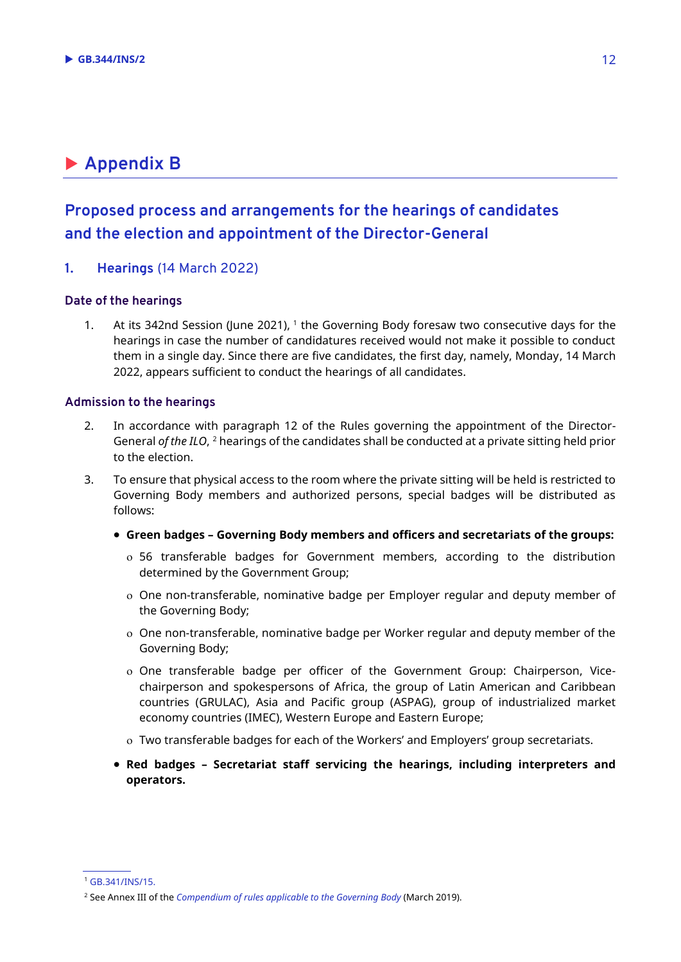# **Appendix B**

## **Proposed process and arrangements for the hearings of candidates and the election and appointment of the Director-General**

#### **1. Hearings** (14 March 2022)

#### **Date of the hearings**

1. At its 342nd Session (June 2021), 1 the Governing Body foresaw two consecutive days for the hearings in case the number of candidatures received would not make it possible to conduct them in a single day. Since there are five candidates, the first day, namely, Monday, 14 March 2022, appears sufficient to conduct the hearings of all candidates.

#### **Admission to the hearings**

- 2. In accordance with paragraph 12 of the Rules governing the appointment of the Director-General *of the ILO*, <sup>2</sup> hearings of the candidates shall be conducted at a private sitting held prior to the election.
- 3. To ensure that physical access to the room where the private sitting will be held is restricted to Governing Body members and authorized persons, special badges will be distributed as follows:
	- **Green badges – Governing Body members and officers and secretariats of the groups:**
		- 56 transferable badges for Government members, according to the distribution determined by the Government Group;
		- One non-transferable, nominative badge per Employer regular and deputy member of the Governing Body;
		- One non-transferable, nominative badge per Worker regular and deputy member of the Governing Body;
		- One transferable badge per officer of the Government Group: Chairperson, Vicechairperson and spokespersons of Africa, the group of Latin American and Caribbean countries (GRULAC), Asia and Pacific group (ASPAG), group of industrialized market economy countries (IMEC), Western Europe and Eastern Europe;
		- Two transferable badges for each of the Workers' and Employers' group secretariats.
	- **Red badges – Secretariat staff servicing the hearings, including interpreters and operators.**

<sup>1</sup> [GB.341/INS/15.](https://www.ilo.org/wcmsp5/groups/public/@ed_norm/@relconf/documents/meetingdocument/wcms_771245.pdf)

<sup>2</sup> See Annex III of the *[Compendium of rules applicable to the Governing Body](https://www.ilo.org/wcmsp5/groups/public/---ed_norm/---relconf/documents/meetingdocument/wcms_586687.pdf)* (March 2019).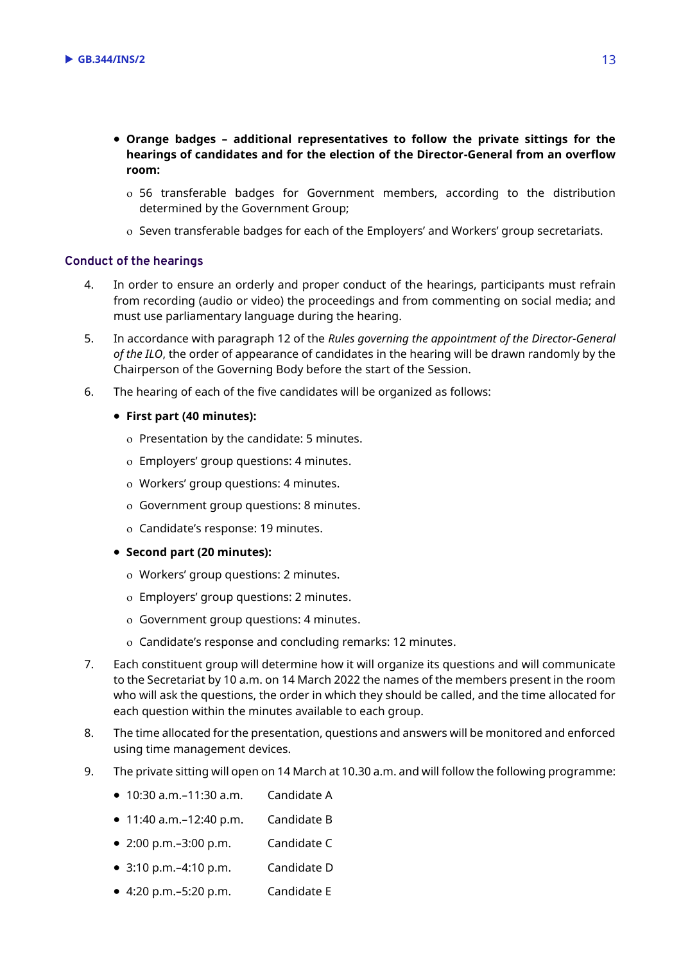- **Orange badges – additional representatives to follow the private sittings for the hearings of candidates and for the election of the Director-General from an overflow room:**
	- 56 transferable badges for Government members, according to the distribution determined by the Government Group;
	- o Seven transferable badges for each of the Employers' and Workers' group secretariats.

#### **Conduct of the hearings**

- 4. In order to ensure an orderly and proper conduct of the hearings, participants must refrain from recording (audio or video) the proceedings and from commenting on social media; and must use parliamentary language during the hearing.
- 5. In accordance with paragraph 12 of the *Rules governing the appointment of the Director-General of the ILO*, the order of appearance of candidates in the hearing will be drawn randomly by the Chairperson of the Governing Body before the start of the Session.
- 6. The hearing of each of the five candidates will be organized as follows:
	- **First part (40 minutes):**
		- o Presentation by the candidate: 5 minutes.
		- Employers' group questions: 4 minutes.
		- Workers' group questions: 4 minutes.
		- Government group questions: 8 minutes.
		- Candidate's response: 19 minutes.
	- **Second part (20 minutes):**
		- Workers' group questions: 2 minutes.
		- Employers' group questions: 2 minutes.
		- Government group questions: 4 minutes.
		- Candidate's response and concluding remarks: 12 minutes.
- 7. Each constituent group will determine how it will organize its questions and will communicate to the Secretariat by 10 a.m. on 14 March 2022 the names of the members present in the room who will ask the questions, the order in which they should be called, and the time allocated for each question within the minutes available to each group.
- 8. The time allocated for the presentation, questions and answers will be monitored and enforced using time management devices.
- 9. The private sitting will open on 14 March at 10.30 a.m. and will follow the following programme:
	- $\bullet$  10:30 a.m. $-11:30$  a.m. Candidate A
	- 11:40 a.m.–12:40 p.m. Candidate B
	- 2:00 p.m.–3:00 p.m. Candidate C
	- 3:10 p.m.–4:10 p.m. Candidate D
	- 4:20 p.m.–5:20 p.m. Candidate E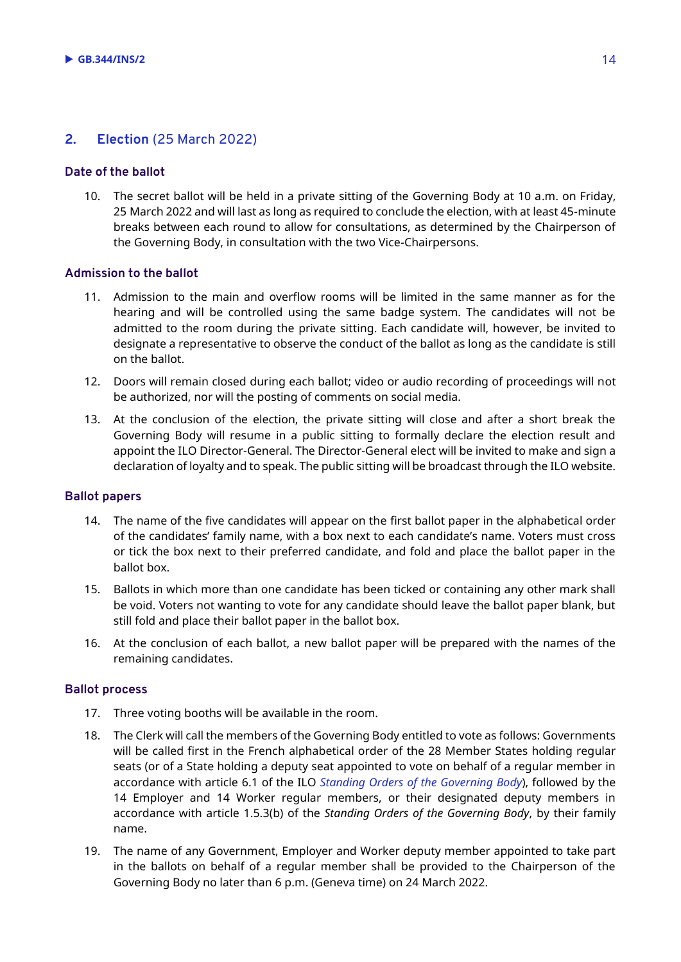## **2. Election** (25 March 2022)

#### **Date of the ballot**

10. The secret ballot will be held in a private sitting of the Governing Body at 10 a.m. on Friday, 25 March 2022 and will last as long as required to conclude the election, with at least 45-minute breaks between each round to allow for consultations, as determined by the Chairperson of the Governing Body, in consultation with the two Vice-Chairpersons.

#### **Admission to the ballot**

- 11. Admission to the main and overflow rooms will be limited in the same manner as for the hearing and will be controlled using the same badge system. The candidates will not be admitted to the room during the private sitting. Each candidate will, however, be invited to designate a representative to observe the conduct of the ballot as long as the candidate is still on the ballot.
- 12. Doors will remain closed during each ballot; video or audio recording of proceedings will not be authorized, nor will the posting of comments on social media.
- 13. At the conclusion of the election, the private sitting will close and after a short break the Governing Body will resume in a public sitting to formally declare the election result and appoint the ILO Director-General. The Director-General elect will be invited to make and sign a declaration of loyalty and to speak. The public sitting will be broadcast through the ILO website.

#### **Ballot papers**

- 14. The name of the five candidates will appear on the first ballot paper in the alphabetical order of the candidates' family name, with a box next to each candidate's name. Voters must cross or tick the box next to their preferred candidate, and fold and place the ballot paper in the ballot box.
- 15. Ballots in which more than one candidate has been ticked or containing any other mark shall be void. Voters not wanting to vote for any candidate should leave the ballot paper blank, but still fold and place their ballot paper in the ballot box.
- 16. At the conclusion of each ballot, a new ballot paper will be prepared with the names of the remaining candidates.

#### **Ballot process**

- 17. Three voting booths will be available in the room.
- 18. The Clerk will call the members of the Governing Body entitled to vote as follows: Governments will be called first in the French alphabetical order of the 28 Member States holding regular seats (or of a State holding a deputy seat appointed to vote on behalf of a regular member in accordance with article 6.1 of the ILO *[Standing Orders of the Governing Body](https://www.ilo.org/wcmsp5/groups/public/---ed_norm/---relconf/documents/meetingdocument/wcms_586687.pdf)*), followed by the 14 Employer and 14 Worker regular members, or their designated deputy members in accordance with article 1.5.3(b) of the *Standing Orders of the Governing Body*, by their family name.
- 19. The name of any Government, Employer and Worker deputy member appointed to take part in the ballots on behalf of a regular member shall be provided to the Chairperson of the Governing Body no later than 6 p.m. (Geneva time) on 24 March 2022.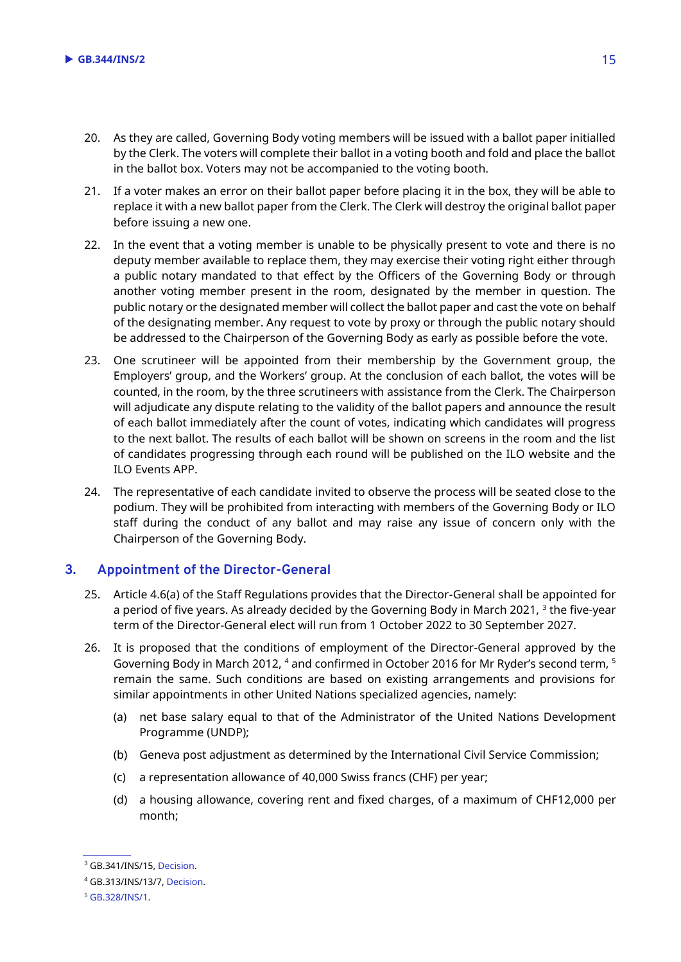- 20. As they are called, Governing Body voting members will be issued with a ballot paper initialled by the Clerk. The voters will complete their ballot in a voting booth and fold and place the ballot in the ballot box. Voters may not be accompanied to the voting booth.
- 21. If a voter makes an error on their ballot paper before placing it in the box, they will be able to replace it with a new ballot paper from the Clerk. The Clerk will destroy the original ballot paper before issuing a new one.
- 22. In the event that a voting member is unable to be physically present to vote and there is no deputy member available to replace them, they may exercise their voting right either through a public notary mandated to that effect by the Officers of the Governing Body or through another voting member present in the room, designated by the member in question. The public notary or the designated member will collect the ballot paper and cast the vote on behalf of the designating member. Any request to vote by proxy or through the public notary should be addressed to the Chairperson of the Governing Body as early as possible before the vote.
- 23. One scrutineer will be appointed from their membership by the Government group, the Employers' group, and the Workers' group. At the conclusion of each ballot, the votes will be counted, in the room, by the three scrutineers with assistance from the Clerk. The Chairperson will adjudicate any dispute relating to the validity of the ballot papers and announce the result of each ballot immediately after the count of votes, indicating which candidates will progress to the next ballot. The results of each ballot will be shown on screens in the room and the list of candidates progressing through each round will be published on the ILO website and the ILO Events APP.
- 24. The representative of each candidate invited to observe the process will be seated close to the podium. They will be prohibited from interacting with members of the Governing Body or ILO staff during the conduct of any ballot and may raise any issue of concern only with the Chairperson of the Governing Body.

### **3. Appointment of the Director-General**

- 25. Article 4.6(a) of the Staff Regulations provides that the Director-General shall be appointed for a period of five years. As already decided by the Governing Body in March 2021, <sup>3</sup> the five-year term of the Director-General elect will run from 1 October 2022 to 30 September 2027.
- 26. It is proposed that the conditions of employment of the Director-General approved by the Governing Body in March 2012, <sup>4</sup> and confirmed in October 2016 for Mr Ryder's second term, <sup>5</sup> remain the same. Such conditions are based on existing arrangements and provisions for similar appointments in other United Nations specialized agencies, namely:
	- (a) net base salary equal to that of the Administrator of the United Nations Development Programme (UNDP);
	- (b) Geneva post adjustment as determined by the International Civil Service Commission;
	- (c) a representation allowance of 40,000 Swiss francs (CHF) per year;
	- (d) a housing allowance, covering rent and fixed charges, of a maximum of CHF12,000 per month;

<sup>&</sup>lt;sup>3</sup> GB.341/INS/15[, Decision.](https://www.ilo.org/gb/GBSessions/GB341/ins/WCMS_776759/lang--en/index.htm)

<sup>4</sup> GB.313/INS/13/7[, Decision.](https://www.ilo.org/gb/decisions/GB313-decision/WCMS_176651/lang--en/index.htm)

<sup>5</sup> [GB.328/INS/1.](https://www.ilo.org/wcmsp5/groups/public/---ed_norm/---relconf/documents/meetingdocument/wcms_528147.pdf)